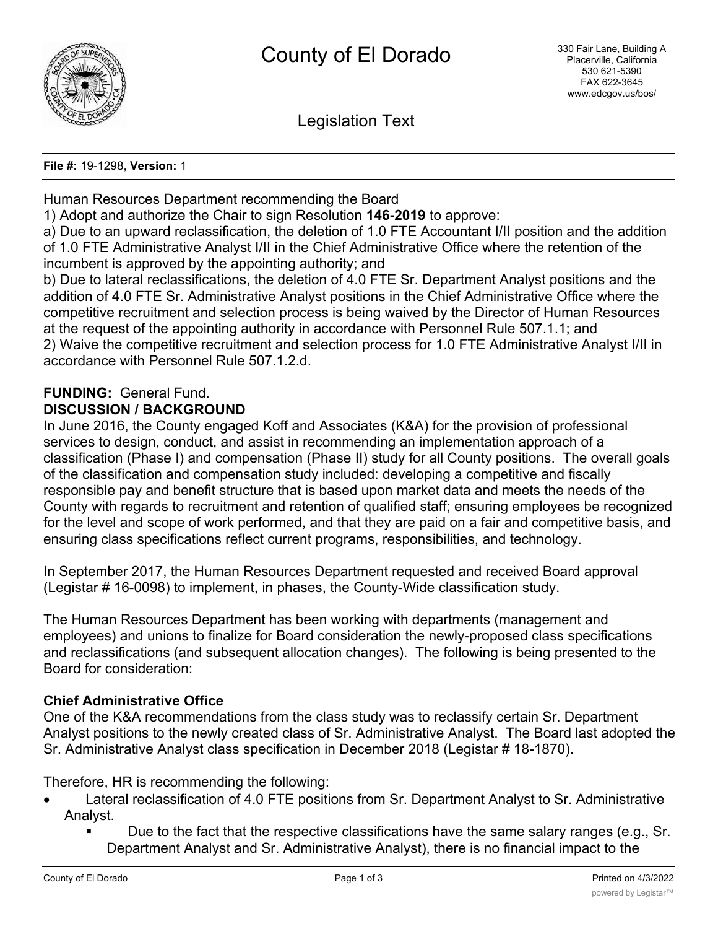

Legislation Text

**File #:** 19-1298, **Version:** 1

Human Resources Department recommending the Board

1) Adopt and authorize the Chair to sign Resolution **146-2019** to approve:

a) Due to an upward reclassification, the deletion of 1.0 FTE Accountant I/II position and the addition of 1.0 FTE Administrative Analyst I/II in the Chief Administrative Office where the retention of the incumbent is approved by the appointing authority; and

b) Due to lateral reclassifications, the deletion of 4.0 FTE Sr. Department Analyst positions and the addition of 4.0 FTE Sr. Administrative Analyst positions in the Chief Administrative Office where the competitive recruitment and selection process is being waived by the Director of Human Resources at the request of the appointing authority in accordance with Personnel Rule 507.1.1; and 2) Waive the competitive recruitment and selection process for 1.0 FTE Administrative Analyst I/II in accordance with Personnel Rule 507.1.2.d.

## **FUNDING:** General Fund. **DISCUSSION / BACKGROUND**

In June 2016, the County engaged Koff and Associates (K&A) for the provision of professional services to design, conduct, and assist in recommending an implementation approach of a classification (Phase I) and compensation (Phase II) study for all County positions. The overall goals of the classification and compensation study included: developing a competitive and fiscally responsible pay and benefit structure that is based upon market data and meets the needs of the County with regards to recruitment and retention of qualified staff; ensuring employees be recognized for the level and scope of work performed, and that they are paid on a fair and competitive basis, and ensuring class specifications reflect current programs, responsibilities, and technology.

In September 2017, the Human Resources Department requested and received Board approval (Legistar # 16-0098) to implement, in phases, the County-Wide classification study.

The Human Resources Department has been working with departments (management and employees) and unions to finalize for Board consideration the newly-proposed class specifications and reclassifications (and subsequent allocation changes). The following is being presented to the Board for consideration:

## **Chief Administrative Office**

One of the K&A recommendations from the class study was to reclassify certain Sr. Department Analyst positions to the newly created class of Sr. Administrative Analyst. The Board last adopted the Sr. Administrative Analyst class specification in December 2018 (Legistar # 18-1870).

Therefore, HR is recommending the following:

- Lateral reclassification of 4.0 FTE positions from Sr. Department Analyst to Sr. Administrative Analyst.
	- Due to the fact that the respective classifications have the same salary ranges (e.g., Sr. Department Analyst and Sr. Administrative Analyst), there is no financial impact to the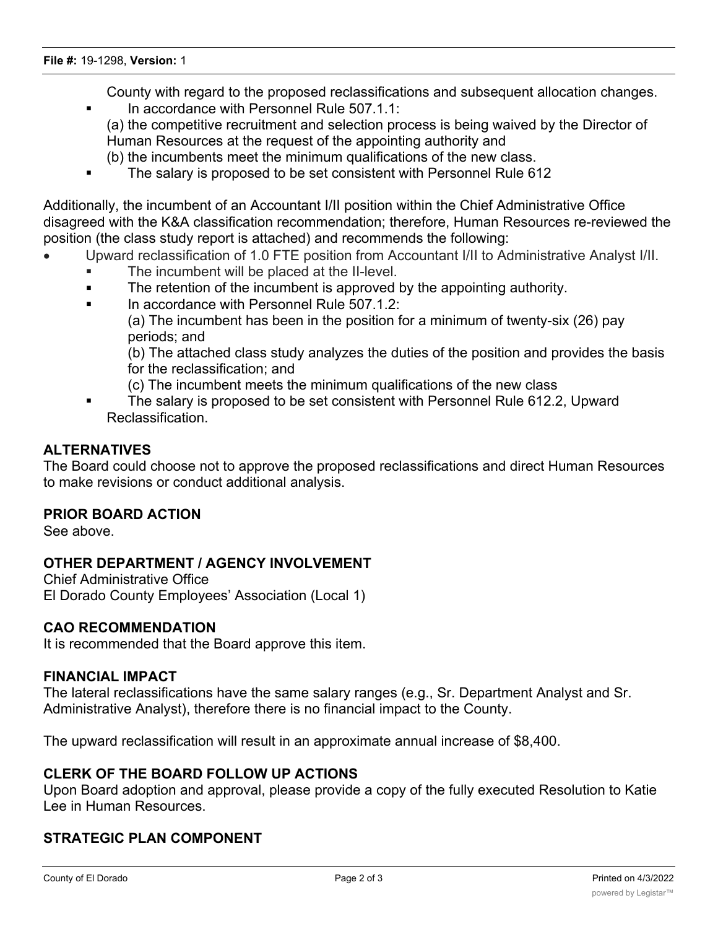County with regard to the proposed reclassifications and subsequent allocation changes.

**• In accordance with Personnel Rule 507.1.1:** (a) the competitive recruitment and selection process is being waived by the Director of Human Resources at the request of the appointing authority and

(b) the incumbents meet the minimum qualifications of the new class.

■ The salary is proposed to be set consistent with Personnel Rule 612

Additionally, the incumbent of an Accountant I/II position within the Chief Administrative Office disagreed with the K&A classification recommendation; therefore, Human Resources re-reviewed the position (the class study report is attached) and recommends the following:

- · Upward reclassification of 1.0 FTE position from Accountant I/II to Administrative Analyst I/II.
	- The incumbent will be placed at the II-level.
	- The retention of the incumbent is approved by the appointing authority.
	- In accordance with Personnel Rule 507.1.2:

(a) The incumbent has been in the position for a minimum of twenty-six (26) pay periods; and

(b) The attached class study analyzes the duties of the position and provides the basis for the reclassification; and

- (c) The incumbent meets the minimum qualifications of the new class
- § The salary is proposed to be set consistent with Personnel Rule 612.2, Upward Reclassification.

### **ALTERNATIVES**

The Board could choose not to approve the proposed reclassifications and direct Human Resources to make revisions or conduct additional analysis.

#### **PRIOR BOARD ACTION**

See above.

## **OTHER DEPARTMENT / AGENCY INVOLVEMENT**

Chief Administrative Office El Dorado County Employees' Association (Local 1)

#### **CAO RECOMMENDATION**

It is recommended that the Board approve this item.

#### **FINANCIAL IMPACT**

The lateral reclassifications have the same salary ranges (e.g., Sr. Department Analyst and Sr. Administrative Analyst), therefore there is no financial impact to the County.

The upward reclassification will result in an approximate annual increase of \$8,400.

#### **CLERK OF THE BOARD FOLLOW UP ACTIONS**

Upon Board adoption and approval, please provide a copy of the fully executed Resolution to Katie Lee in Human Resources.

## **STRATEGIC PLAN COMPONENT**